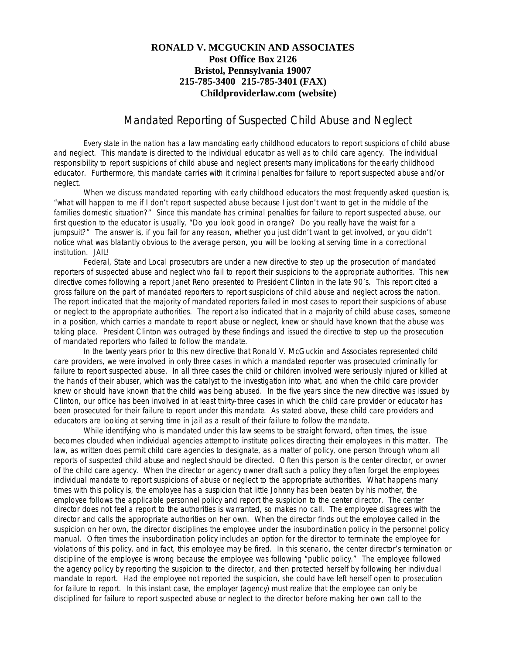## **RONALD V. MCGUCKIN AND ASSOCIATES Post Office Box 2126 Bristol, Pennsylvania 19007 215-785-3400 215-785-3401 (FAX) Childproviderlaw.com (website)**

## Mandated Reporting of Suspected Child Abuse and Neglect

Every state in the nation has a law mandating early childhood educators to report suspicions of child abuse and neglect. This mandate is directed to the individual educator as well as to child care agency. The individual responsibility to report suspicions of child abuse and neglect presents many implications for the early childhood educator. Furthermore, this mandate carries with it criminal penalties for failure to report suspected abuse and/or neglect.

When we discuss mandated reporting with early childhood educators the most frequently asked question is, "what will happen to me if I don't report suspected abuse because I just don't want to get in the middle of the families domestic situation?" Since this mandate has criminal penalties for failure to report suspected abuse, our first question to the educator is usually, "Do you look good in orange? Do you really have the waist for a jumpsuit?" The answer is, if you fail for any reason, whether you just didn't want to get involved, or you didn't notice what was blatantly obvious to the average person, you will be looking at serving time in a correctional institution. JAIL!

Federal, State and Local prosecutors are under a new directive to step up the prosecution of mandated reporters of suspected abuse and neglect who fail to report their suspicions to the appropriate authorities. This new directive comes following a report Janet Reno presented to President Clinton in the late 90's. This report cited a gross failure on the part of mandated reporters to report suspicions of child abuse and neglect across the nation. The report indicated that the majority of mandated reporters failed in most cases to report their suspicions of abuse or neglect to the appropriate authorities. The report also indicated that in a majority of child abuse cases, someone in a position, which carries a mandate to report abuse or neglect, knew or should have known that the abuse was taking place. President Clinton was outraged by these findings and issued the directive to step up the prosecution of mandated reporters who failed to follow the mandate.

In the twenty years prior to this new directive that Ronald V. McGuckin and Associates represented child care providers, we were involved in only three cases in which a mandated reporter was prosecuted criminally for failure to report suspected abuse. In all three cases the child or children involved were seriously injured or killed at the hands of their abuser, which was the catalyst to the investigation into what, and when the child care provider knew or should have known that the child was being abused. In the five years since the new directive was issued by Clinton, our office has been involved in at least thirty-three cases in which the child care provider or educator has been prosecuted for their failure to report under this mandate. As stated above, these child care providers and educators are looking at serving time in jail as a result of their failure to follow the mandate.

While identifying who is mandated under this law seems to be straight forward, often times, the issue becomes clouded when individual agencies attempt to institute polices directing their employees in this matter. The law, as written does permit child care agencies to designate, as a matter of policy, one person through whom all reports of suspected child abuse and neglect should be directed. Often this person is the center director, or owner of the child care agency. When the director or agency owner draft such a policy they often forget the employees individual mandate to report suspicions of abuse or neglect to the appropriate authorities. What happens many times with this policy is, the employee has a suspicion that little Johnny has been beaten by his mother, the employee follows the applicable personnel policy and report the suspicion to the center director. The center director does not feel a report to the authorities is warranted, so makes no call. The employee disagrees with the director and calls the appropriate authorities on her own. When the director finds out the employee called in the suspicion on her own, the director disciplines the employee under the insubordination policy in the personnel policy manual. Often times the insubordination policy includes an option for the director to terminate the employee for violations of this policy, and in fact, this employee may be fired. In this scenario, the center director's termination or discipline of the employee is wrong because the employee was following "public policy." The employee followed the agency policy by reporting the suspicion to the director, and then protected herself by following her individual mandate to report. Had the employee not reported the suspicion, she could have left herself open to prosecution for failure to report. In this instant case, the employer (agency) must realize that the employee can only be disciplined for failure to report suspected abuse or neglect to the director before making her own call to the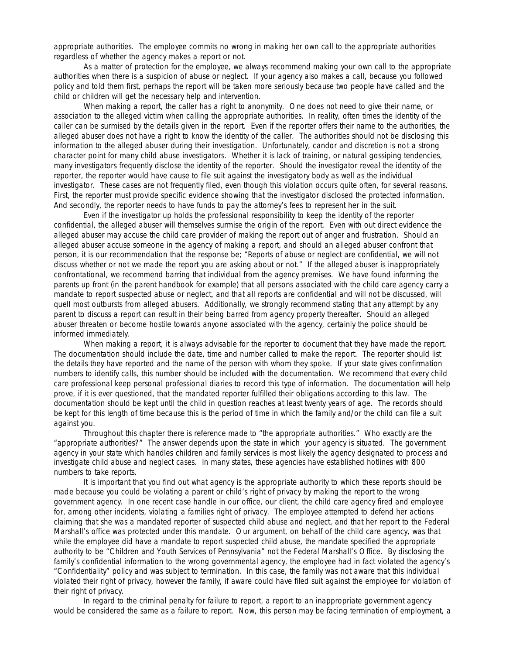appropriate authorities. The employee commits no wrong in making her own call to the appropriate authorities regardless of whether the agency makes a report or not.

As a matter of protection for the employee, we always recommend making your own call to the appropriate authorities when there is a suspicion of abuse or neglect. If your agency also makes a call, because you followed policy and told them first, perhaps the report will be taken more seriously because two people have called and the child or children will get the necessary help and intervention.

When making a report, the caller has a right to anonymity. One does not need to give their name, or association to the alleged victim when calling the appropriate authorities. In reality, often times the identity of the caller can be surmised by the details given in the report. Even if the reporter offers their name to the authorities, the alleged abuser does not have a right to know the identity of the caller. The authorities should not be disclosing this information to the alleged abuser during their investigation. Unfortunately, candor and discretion is not a strong character point for many child abuse investigators. Whether it is lack of training, or natural gossiping tendencies, many investigators frequently disclose the identity of the reporter. Should the investigator reveal the identity of the reporter, the reporter would have cause to file suit against the investigatory body as well as the individual investigator. These cases are not frequently filed, even though this violation occurs quite often, for several reasons. First, the reporter must provide specific evidence showing that the investigator disclosed the protected information. And secondly, the reporter needs to have funds to pay the attorney's fees to represent her in the suit.

Even if the investigator up holds the professional responsibility to keep the identity of the reporter confidential, the alleged abuser will themselves surmise the origin of the report. Even with out direct evidence the alleged abuser may accuse the child care provider of making the report out of anger and frustration. Should an alleged abuser accuse someone in the agency of making a report, and should an alleged abuser confront that person, it is our recommendation that the response be; "Reports of abuse or neglect are confidential, we will not discuss whether or not we made the report you are asking about or not." If the alleged abuser is inappropriately confrontational, we recommend barring that individual from the agency premises. We have found informing the parents up front (in the parent handbook for example) that all persons associated with the child care agency carry a mandate to report suspected abuse or neglect, and that all reports are confidential and will not be discussed, will quell most outbursts from alleged abusers. Additionally, we strongly recommend stating that any attempt by any parent to discuss a report can result in their being barred from agency property thereafter. Should an alleged abuser threaten or become hostile towards anyone associated with the agency, certainly the police should be informed immediately.

When making a report, it is always advisable for the reporter to document that they have made the report. The documentation should include the date, time and number called to make the report. The reporter should list the details they have reported and the name of the person with whom they spoke. If your state gives confirmation numbers to identify calls, this number should be included with the documentation. We recommend that every child care professional keep personal professional diaries to record this type of information. The documentation will help prove, if it is ever questioned, that the mandated reporter fulfilled their obligations according to this law. The documentation should be kept until the child in question reaches at least twenty years of age. The records should be kept for this length of time because this is the period of time in which the family and/or the child can file a suit against you.

Throughout this chapter there is reference made to "the appropriate authorities." Who exactly are the "appropriate authorities?" The answer depends upon the state in which your agency is situated. The government agency in your state which handles children and family services is most likely the agency designated to process and investigate child abuse and neglect cases. In many states, these agencies have established hotlines with 800 numbers to take reports.

It is important that you find out what agency is the appropriate authority to which these reports should be made because you could be violating a parent or child's right of privacy by making the report to the wrong government agency. In one recent case handle in our office, our client, the child care agency fired and employee for, among other incidents, violating a families right of privacy. The employee attempted to defend her actions claiming that she was a mandated reporter of suspected child abuse and neglect, and that her report to the Federal Marshall's office was protected under this mandate. Our argument, on behalf of the child care agency, was that while the employee did have a mandate to report suspected child abuse, the mandate specified the appropriate authority to be "Children and Youth Services of Pennsylvania" not the Federal Marshall's Office. By disclosing the family's confidential information to the wrong governmental agency, the employee had in fact violated the agency's "Confidentiality" policy and was subject to termination. In this case, the family was not aware that this individual violated their right of privacy, however the family, if aware could have filed suit against the employee for violation of their right of privacy.

In regard to the criminal penalty for failure to report, a report to an inappropriate government agency would be considered the same as a failure to report. Now, this person may be facing termination of employment, a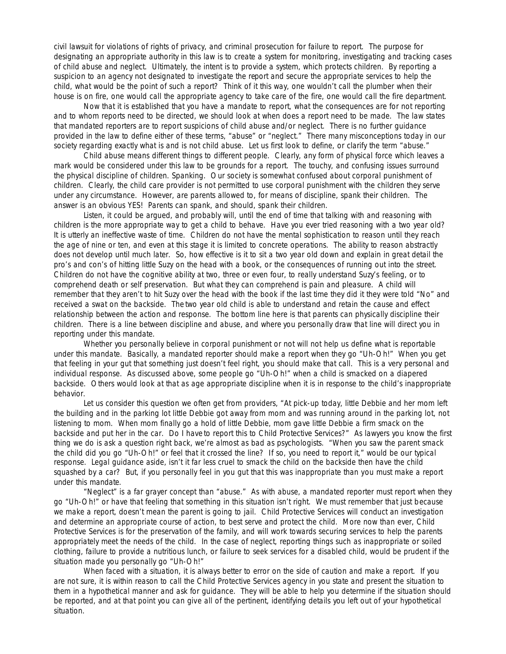civil lawsuit for violations of rights of privacy, and criminal prosecution for failure to report. The purpose for designating an appropriate authority in this law is to create a system for monitoring, investigating and tracking cases of child abuse and neglect. Ultimately, the intent is to provide a system, which protects children. By reporting a suspicion to an agency not designated to investigate the report and secure the appropriate services to help the child, what would be the point of such a report? Think of it this way, one wouldn't call the plumber when their house is on fire, one would call the appropriate agency to take care of the fire, one would call the fire department.

Now that it is established that you have a mandate to report, what the consequences are for not reporting and to whom reports need to be directed, we should look at when does a report need to be made. The law states that mandated reporters are to report suspicions of child abuse and/or neglect. There is no further guidance provided in the law to define either of these terms, "abuse" or "neglect." There many misconceptions today in our society regarding exactly what is and is not child abuse. Let us first look to define, or clarify the term "abuse."

Child abuse means different things to different people. Clearly, any form of physical force which leaves a mark would be considered under this law to be grounds for a report. The touchy, and confusing issues surround the physical discipline of children. Spanking. Our society is somewhat confused about corporal punishment of children. Clearly, the child care provider is not permitted to use corporal punishment with the children they serve under any circumstance. However, are parents allowed to, for means of discipline, spank their children. The answer is an obvious YES! Parents can spank, and should, spank their children.

Listen, it could be argued, and probably will, until the end of time that talking with and reasoning with children is the more appropriate way to get a child to behave. Have you ever tried reasoning with a two year old? It is utterly an ineffective waste of time. Children do not have the mental sophistication to reason until they reach the age of nine or ten, and even at this stage it is limited to concrete operations. The ability to reason abstractly does not develop until much later. So, how effective is it to sit a two year old down and explain in great detail the pro's and con's of hitting little Suzy on the head with a book, or the consequences of running out into the street. Children do not have the cognitive ability at two, three or even four, to really understand Suzy's feeling, or to comprehend death or self preservation. But what they can comprehend is pain and pleasure. A child will remember that they aren't to hit Suzy over the head with the book if the last time they did it they were told "No" and received a swat on the backside. The two year old child is able to understand and retain the cause and effect relationship between the action and response. The bottom line here is that parents can physically discipline their children. There is a line between discipline and abuse, and where you personally draw that line will direct you in reporting under this mandate.

Whether you personally believe in corporal punishment or not will not help us define what is reportable under this mandate. Basically, a mandated reporter should make a report when they go "Uh-Oh!" When you get that feeling in your gut that something just doesn't feel right, you should make that call. This is a very personal and individual response. As discussed above, some people go "Uh-Oh!" when a child is smacked on a diapered backside. Others would look at that as age appropriate discipline when it is in response to the child's inappropriate behavior.

Let us consider this question we often get from providers, "At pick-up today, little Debbie and her mom left the building and in the parking lot little Debbie got away from mom and was running around in the parking lot, not listening to mom. When mom finally go a hold of little Debbie, mom gave little Debbie a firm smack on the backside and put her in the car. Do I have to report this to Child Protective Services?" As lawyers you know the first thing we do is ask a question right back, we're almost as bad as psychologists. "When you saw the parent smack the child did you go "Uh-Oh!" or feel that it crossed the line? If so, you need to report it," would be our typical response. Legal guidance aside, isn't it far less cruel to smack the child on the backside then have the child squashed by a car? But, if you personally feel in you gut that this was inappropriate than you must make a report under this mandate.

"Neglect" is a far grayer concept than "abuse." As with abuse, a mandated reporter must report when they go "Uh-Oh!" or have that feeling that something in this situation isn't right. We must remember that just because we make a report, doesn't mean the parent is going to jail. Child Protective Services will conduct an investigation and determine an appropriate course of action, to best serve and protect the child. More now than ever, Child Protective Services is for the preservation of the family, and will work towards securing services to help the parents appropriately meet the needs of the child. In the case of neglect, reporting things such as inappropriate or soiled clothing, failure to provide a nutritious lunch, or failure to seek services for a disabled child, would be prudent if the situation made you personally go "Uh-Oh!"

When faced with a situation, it is always better to error on the side of caution and make a report. If you are not sure, it is within reason to call the Child Protective Services agency in you state and present the situation to them in a hypothetical manner and ask for guidance. They will be able to help you determine if the situation should be reported, and at that point you can give all of the pertinent, identifying details you left out of your hypothetical situation.